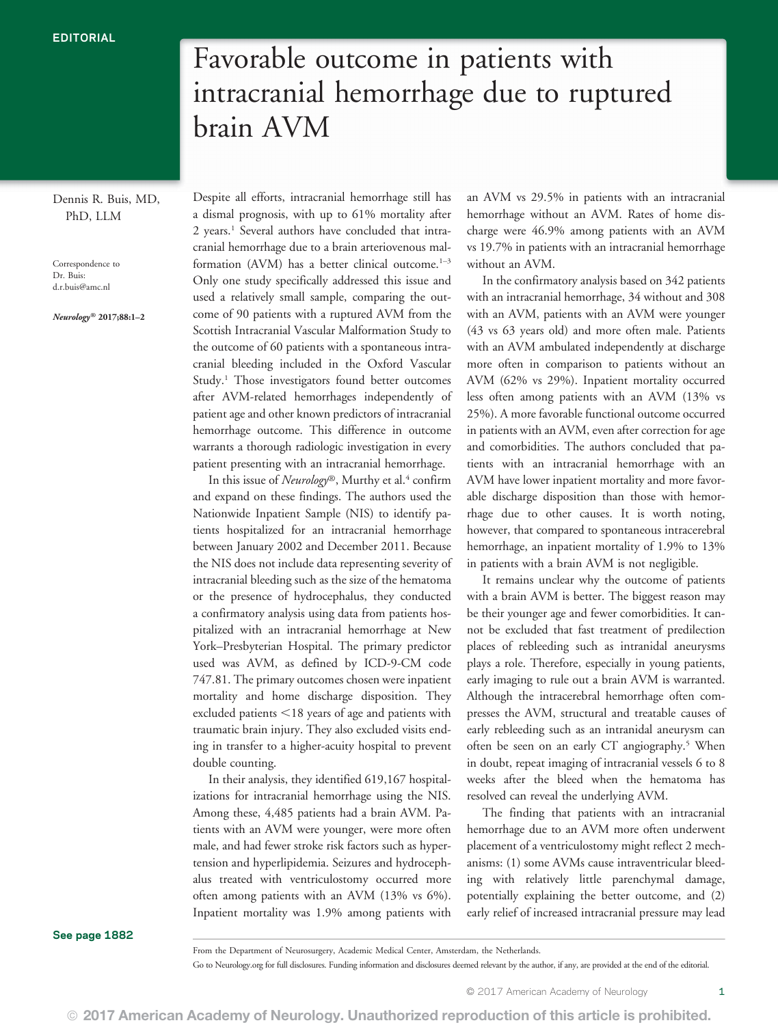Dennis R. Buis, MD, PhD, LLM

Correspondence to Dr. Buis: [d.r.buis@amc.nl](mailto:d.r.buis@amc.nl)

Neurology® 2017;88:1–<sup>2</sup>

Despite all efforts, intracranial hemorrhage still has a dismal prognosis, with up to 61% mortality after 2 years.<sup>1</sup> Several authors have concluded that intracranial hemorrhage due to a brain arteriovenous malformation (AVM) has a better clinical outcome. $1-3$ Only one study specifically addressed this issue and used a relatively small sample, comparing the outcome of 90 patients with a ruptured AVM from the Scottish Intracranial Vascular Malformation Study to the outcome of 60 patients with a spontaneous intracranial bleeding included in the Oxford Vascular Study.<sup>1</sup> Those investigators found better outcomes after AVM-related hemorrhages independently of patient age and other known predictors of intracranial hemorrhage outcome. This difference in outcome warrants a thorough radiologic investigation in every patient presenting with an intracranial hemorrhage.

brain AVM

Favorable outcome in patients with

intracranial hemorrhage due to ruptured

In this issue of Neurology®, Murthy et al.<sup>4</sup> confirm and expand on these findings. The authors used the Nationwide Inpatient Sample (NIS) to identify patients hospitalized for an intracranial hemorrhage between January 2002 and December 2011. Because the NIS does not include data representing severity of intracranial bleeding such as the size of the hematoma or the presence of hydrocephalus, they conducted a confirmatory analysis using data from patients hospitalized with an intracranial hemorrhage at New York–Presbyterian Hospital. The primary predictor used was AVM, as defined by ICD-9-CM code 747.81. The primary outcomes chosen were inpatient mortality and home discharge disposition. They excluded patients  $<$  18 years of age and patients with traumatic brain injury. They also excluded visits ending in transfer to a higher-acuity hospital to prevent double counting.

In their analysis, they identified 619,167 hospitalizations for intracranial hemorrhage using the NIS. Among these, 4,485 patients had a brain AVM. Patients with an AVM were younger, were more often male, and had fewer stroke risk factors such as hypertension and hyperlipidemia. Seizures and hydrocephalus treated with ventriculostomy occurred more often among patients with an AVM (13% vs 6%). Inpatient mortality was 1.9% among patients with

an AVM vs 29.5% in patients with an intracranial hemorrhage without an AVM. Rates of home discharge were 46.9% among patients with an AVM vs 19.7% in patients with an intracranial hemorrhage without an AVM.

In the confirmatory analysis based on 342 patients with an intracranial hemorrhage, 34 without and 308 with an AVM, patients with an AVM were younger (43 vs 63 years old) and more often male. Patients with an AVM ambulated independently at discharge more often in comparison to patients without an AVM (62% vs 29%). Inpatient mortality occurred less often among patients with an AVM (13% vs 25%). A more favorable functional outcome occurred in patients with an AVM, even after correction for age and comorbidities. The authors concluded that patients with an intracranial hemorrhage with an AVM have lower inpatient mortality and more favorable discharge disposition than those with hemorrhage due to other causes. It is worth noting, however, that compared to spontaneous intracerebral hemorrhage, an inpatient mortality of 1.9% to 13% in patients with a brain AVM is not negligible.

It remains unclear why the outcome of patients with a brain AVM is better. The biggest reason may be their younger age and fewer comorbidities. It cannot be excluded that fast treatment of predilection places of rebleeding such as intranidal aneurysms plays a role. Therefore, especially in young patients, early imaging to rule out a brain AVM is warranted. Although the intracerebral hemorrhage often compresses the AVM, structural and treatable causes of early rebleeding such as an intranidal aneurysm can often be seen on an early CT angiography.<sup>5</sup> When in doubt, repeat imaging of intracranial vessels 6 to 8 weeks after the bleed when the hematoma has resolved can reveal the underlying AVM.

The finding that patients with an intracranial hemorrhage due to an AVM more often underwent placement of a ventriculostomy might reflect 2 mechanisms: (1) some AVMs cause intraventricular bleeding with relatively little parenchymal damage, potentially explaining the better outcome, and (2) early relief of increased intracranial pressure may lead

See page 1882

Go to [Neurology.org](http://neurology.org/lookup/doi/10.1212/WNL.0000000000003944) for full disclosures. Funding information and disclosures deemed relevant by the author, if any, are provided at the end of the editorial.

© 2017 American Academy of Neurology. Unauthorized reproduction of this article is prohibited.

From the Department of Neurosurgery, Academic Medical Center, Amsterdam, the Netherlands.